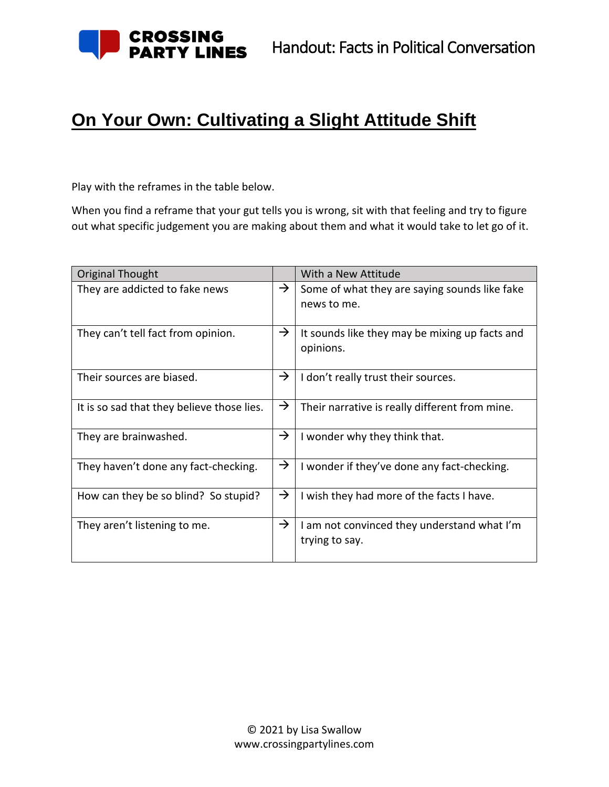

## **On Your Own: Cultivating a Slight Attitude Shift**

Play with the reframes in the table below.

When you find a reframe that your gut tells you is wrong, sit with that feeling and try to figure out what specific judgement you are making about them and what it would take to let go of it.

| Original Thought                           |               | With a New Attitude                                          |  |
|--------------------------------------------|---------------|--------------------------------------------------------------|--|
| They are addicted to fake news             | $\rightarrow$ | Some of what they are saying sounds like fake<br>news to me. |  |
| They can't tell fact from opinion.         | $\rightarrow$ | It sounds like they may be mixing up facts and<br>opinions.  |  |
| Their sources are biased.                  | →             | I don't really trust their sources.                          |  |
| It is so sad that they believe those lies. | $\rightarrow$ | Their narrative is really different from mine.               |  |
| They are brainwashed.                      | →             | I wonder why they think that.                                |  |
| They haven't done any fact-checking.       | $\rightarrow$ | I wonder if they've done any fact-checking.                  |  |
| How can they be so blind? So stupid?       | →             | I wish they had more of the facts I have.                    |  |
| They aren't listening to me.               | $\rightarrow$ | am not convinced they understand what I'm<br>trying to say.  |  |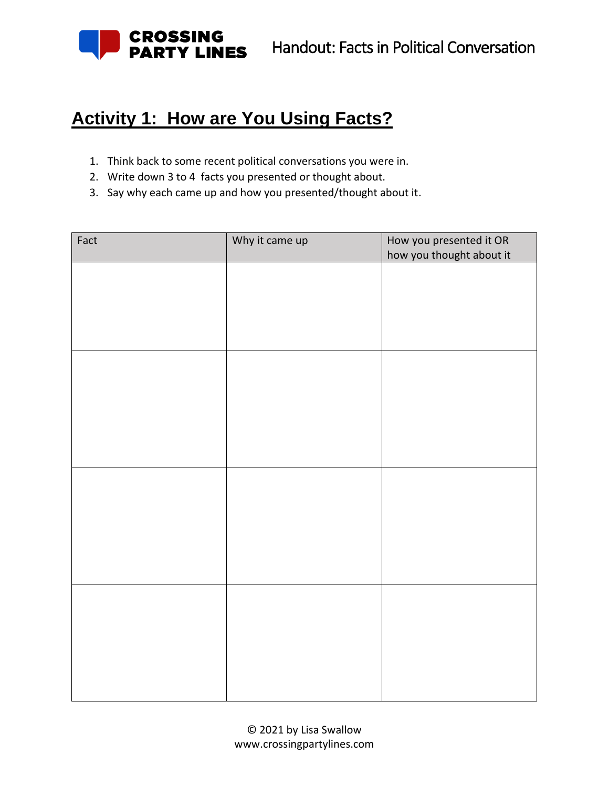

## **Activity 1: How are You Using Facts?**

- 1. Think back to some recent political conversations you were in.
- 2. Write down 3 to 4 facts you presented or thought about.
- 3. Say why each came up and how you presented/thought about it.

| Fact | Why it came up | How you presented it OR  |
|------|----------------|--------------------------|
|      |                | how you thought about it |
|      |                |                          |
|      |                |                          |
|      |                |                          |
|      |                |                          |
|      |                |                          |
|      |                |                          |
|      |                |                          |
|      |                |                          |
|      |                |                          |
|      |                |                          |
|      |                |                          |
|      |                |                          |
|      |                |                          |
|      |                |                          |
|      |                |                          |
|      |                |                          |
|      |                |                          |
|      |                |                          |
|      |                |                          |
|      |                |                          |
|      |                |                          |
|      |                |                          |
|      |                |                          |
|      |                |                          |
|      |                |                          |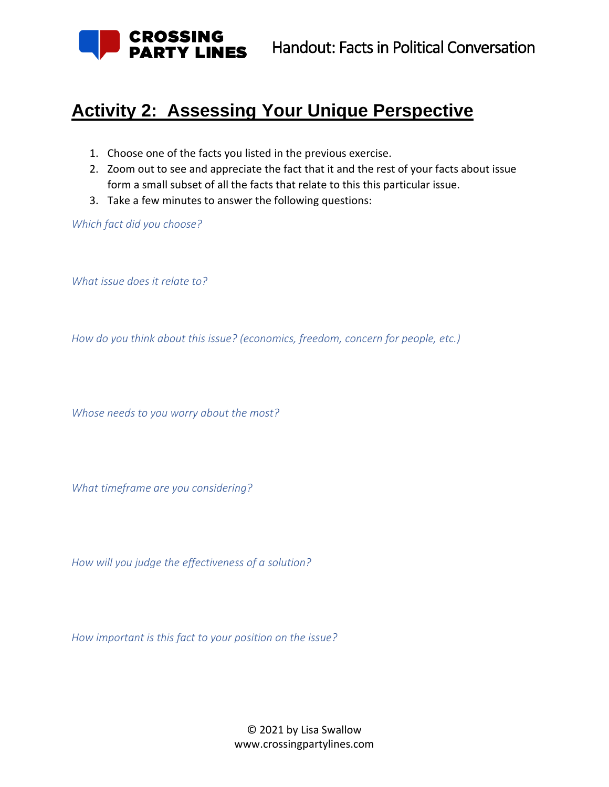

## **Activity 2: Assessing Your Unique Perspective**

- 1. Choose one of the facts you listed in the previous exercise.
- 2. Zoom out to see and appreciate the fact that it and the rest of your facts about issue form a small subset of all the facts that relate to this this particular issue.
- 3. Take a few minutes to answer the following questions:

*Which fact did you choose?*

*What issue does it relate to?*

*How do you think about this issue? (economics, freedom, concern for people, etc.)*

*Whose needs to you worry about the most?*

*What timeframe are you considering?*

*How will you judge the effectiveness of a solution?* 

*How important is this fact to your position on the issue?*

© 2021 by Lisa Swallow www.crossingpartylines.com